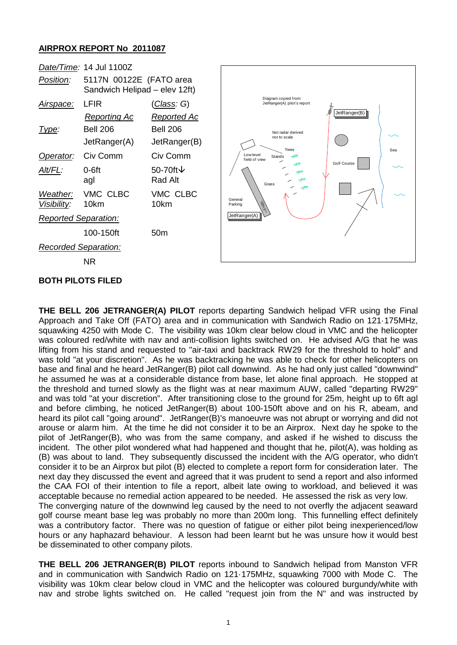## **AIRPROX REPORT No 2011087**



**THE BELL 206 JETRANGER(A) PILOT** reports departing Sandwich helipad VFR using the Final Approach and Take Off (FATO) area and in communication with Sandwich Radio on 121·175MHz, squawking 4250 with Mode C. The visibility was 10km clear below cloud in VMC and the helicopter was coloured red/white with nav and anti-collision lights switched on. He advised A/G that he was lifting from his stand and requested to "air-taxi and backtrack RW29 for the threshold to hold" and was told "at your discretion". As he was backtracking he was able to check for other helicopters on base and final and he heard JetRanger(B) pilot call downwind. As he had only just called "downwind" he assumed he was at a considerable distance from base, let alone final approach. He stopped at the threshold and turned slowly as the flight was at near maximum AUW, called "departing RW29" and was told "at your discretion". After transitioning close to the ground for 25m, height up to 6ft agl and before climbing, he noticed JetRanger(B) about 100-150ft above and on his R, abeam, and heard its pilot call "going around". JetRanger(B)'s manoeuvre was not abrupt or worrying and did not arouse or alarm him. At the time he did not consider it to be an Airprox. Next day he spoke to the pilot of JetRanger(B), who was from the same company, and asked if he wished to discuss the incident. The other pilot wondered what had happened and thought that he, pilot(A), was holding as (B) was about to land. They subsequently discussed the incident with the A/G operator, who didn't consider it to be an Airprox but pilot (B) elected to complete a report form for consideration later. The next day they discussed the event and agreed that it was prudent to send a report and also informed the CAA FOI of their intention to file a report, albeit late owing to workload, and believed it was acceptable because no remedial action appeared to be needed. He assessed the risk as very low. The converging nature of the downwind leg caused by the need to not overfly the adjacent seaward golf course meant base leg was probably no more than 200m long. This funnelling effect definitely was a contributory factor. There was no question of fatigue or either pilot being inexperienced/low hours or any haphazard behaviour. A lesson had been learnt but he was unsure how it would best be disseminated to other company pilots.

**THE BELL 206 JETRANGER(B) PILOT** reports inbound to Sandwich helipad from Manston VFR and in communication with Sandwich Radio on 121·175MHz, squawking 7000 with Mode C. The visibility was 10km clear below cloud in VMC and the helicopter was coloured burgundy/white with nav and strobe lights switched on. He called "request join from the N" and was instructed by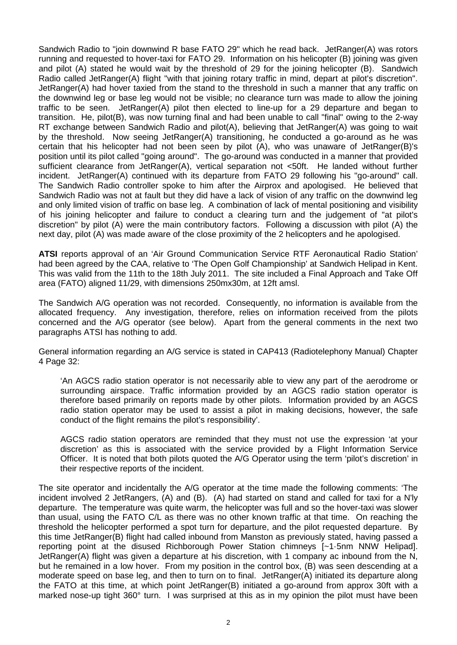Sandwich Radio to "join downwind R base FATO 29" which he read back. JetRanger(A) was rotors running and requested to hover-taxi for FATO 29. Information on his helicopter (B) joining was given and pilot (A) stated he would wait by the threshold of 29 for the joining helicopter (B). Sandwich Radio called JetRanger(A) flight "with that joining rotary traffic in mind, depart at pilot's discretion". JetRanger(A) had hover taxied from the stand to the threshold in such a manner that any traffic on the downwind leg or base leg would not be visible; no clearance turn was made to allow the joining traffic to be seen. JetRanger(A) pilot then elected to line-up for a 29 departure and began to transition. He, pilot(B), was now turning final and had been unable to call "final" owing to the 2-way RT exchange between Sandwich Radio and pilot(A), believing that JetRanger(A) was going to wait by the threshold. Now seeing JetRanger(A) transitioning, he conducted a go-around as he was certain that his helicopter had not been seen by pilot (A), who was unaware of JetRanger(B)'s position until its pilot called "going around". The go-around was conducted in a manner that provided sufficient clearance from JetRanger(A), vertical separation not <50ft. He landed without further incident. JetRanger(A) continued with its departure from FATO 29 following his "go-around" call. The Sandwich Radio controller spoke to him after the Airprox and apologised. He believed that Sandwich Radio was not at fault but they did have a lack of vision of any traffic on the downwind leg and only limited vision of traffic on base leg. A combination of lack of mental positioning and visibility of his joining helicopter and failure to conduct a clearing turn and the judgement of "at pilot's discretion" by pilot (A) were the main contributory factors. Following a discussion with pilot (A) the next day, pilot (A) was made aware of the close proximity of the 2 helicopters and he apologised.

**ATSI** reports approval of an 'Air Ground Communication Service RTF Aeronautical Radio Station' had been agreed by the CAA, relative to 'The Open Golf Championship' at Sandwich Helipad in Kent. This was valid from the 11th to the 18th July 2011. The site included a Final Approach and Take Off area (FATO) aligned 11/29, with dimensions 250mx30m, at 12ft amsl.

The Sandwich A/G operation was not recorded. Consequently, no information is available from the allocated frequency. Any investigation, therefore, relies on information received from the pilots concerned and the A/G operator (see below). Apart from the general comments in the next two paragraphs ATSI has nothing to add.

General information regarding an A/G service is stated in CAP413 (Radiotelephony Manual) Chapter 4 Page 32:

'An AGCS radio station operator is not necessarily able to view any part of the aerodrome or surrounding airspace. Traffic information provided by an AGCS radio station operator is therefore based primarily on reports made by other pilots. Information provided by an AGCS radio station operator may be used to assist a pilot in making decisions, however, the safe conduct of the flight remains the pilot's responsibility'.

AGCS radio station operators are reminded that they must not use the expression 'at your discretion' as this is associated with the service provided by a Flight Information Service Officer. It is noted that both pilots quoted the A/G Operator using the term 'pilot's discretion' in their respective reports of the incident.

The site operator and incidentally the A/G operator at the time made the following comments: 'The incident involved 2 JetRangers, (A) and (B). (A) had started on stand and called for taxi for a N'ly departure. The temperature was quite warm, the helicopter was full and so the hover-taxi was slower than usual, using the FATO C/L as there was no other known traffic at that time. On reaching the threshold the helicopter performed a spot turn for departure, and the pilot requested departure. By this time JetRanger(B) flight had called inbound from Manston as previously stated, having passed a reporting point at the disused Richborough Power Station chimneys [~1·5nm NNW Helipad]. JetRanger(A) flight was given a departure at his discretion, with 1 company ac inbound from the N, but he remained in a low hover. From my position in the control box, (B) was seen descending at a moderate speed on base leg, and then to turn on to final. JetRanger(A) initiated its departure along the FATO at this time, at which point JetRanger(B) initiated a go-around from approx 30ft with a marked nose-up tight 360° turn. I was surprised at this as in my opinion the pilot must have been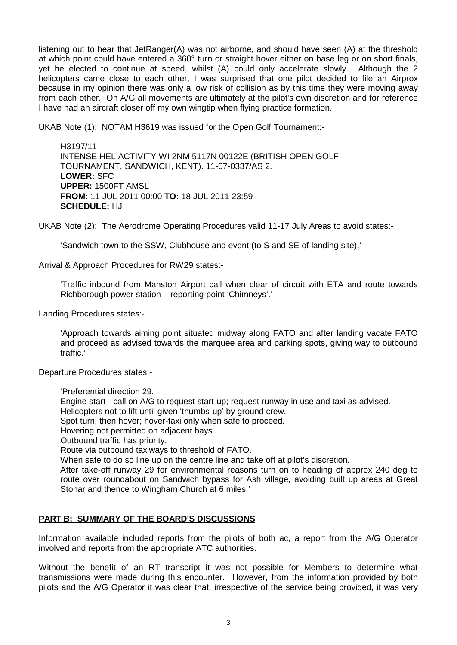listening out to hear that JetRanger(A) was not airborne, and should have seen (A) at the threshold at which point could have entered a 360° turn or straight hover either on base leg or on short finals, yet he elected to continue at speed, whilst (A) could only accelerate slowly. Although the 2 helicopters came close to each other, I was surprised that one pilot decided to file an Airprox because in my opinion there was only a low risk of collision as by this time they were moving away from each other. On A/G all movements are ultimately at the pilot's own discretion and for reference I have had an aircraft closer off my own wingtip when flying practice formation.

UKAB Note (1): NOTAM H3619 was issued for the Open Golf Tournament:-

H3197/11 INTENSE HEL ACTIVITY WI 2NM 5117N 00122E (BRITISH OPEN GOLF TOURNAMENT, SANDWICH, KENT). 11-07-0337/AS 2. **LOWER:** SFC **UPPER:** 1500FT AMSL **FROM:** 11 JUL 2011 00:00 **TO:** 18 JUL 2011 23:59 **SCHEDULE:** HJ

UKAB Note (2): The Aerodrome Operating Procedures valid 11-17 July Areas to avoid states:-

'Sandwich town to the SSW, Clubhouse and event (to S and SE of landing site).'

Arrival & Approach Procedures for RW29 states:-

'Traffic inbound from Manston Airport call when clear of circuit with ETA and route towards Richborough power station – reporting point 'Chimneys'.'

Landing Procedures states:-

'Approach towards aiming point situated midway along FATO and after landing vacate FATO and proceed as advised towards the marquee area and parking spots, giving way to outbound traffic.'

Departure Procedures states:-

'Preferential direction 29.

Engine start - call on A/G to request start-up; request runway in use and taxi as advised.

Helicopters not to lift until given 'thumbs-up' by ground crew.

Spot turn, then hover; hover-taxi only when safe to proceed.

Hovering not permitted on adjacent bays

Outbound traffic has priority.

Route via outbound taxiways to threshold of FATO.

When safe to do so line up on the centre line and take off at pilot's discretion.

After take-off runway 29 for environmental reasons turn on to heading of approx 240 deg to route over roundabout on Sandwich bypass for Ash village, avoiding built up areas at Great Stonar and thence to Wingham Church at 6 miles.'

## **PART B: SUMMARY OF THE BOARD'S DISCUSSIONS**

Information available included reports from the pilots of both ac, a report from the A/G Operator involved and reports from the appropriate ATC authorities.

Without the benefit of an RT transcript it was not possible for Members to determine what transmissions were made during this encounter. However, from the information provided by both pilots and the A/G Operator it was clear that, irrespective of the service being provided, it was very